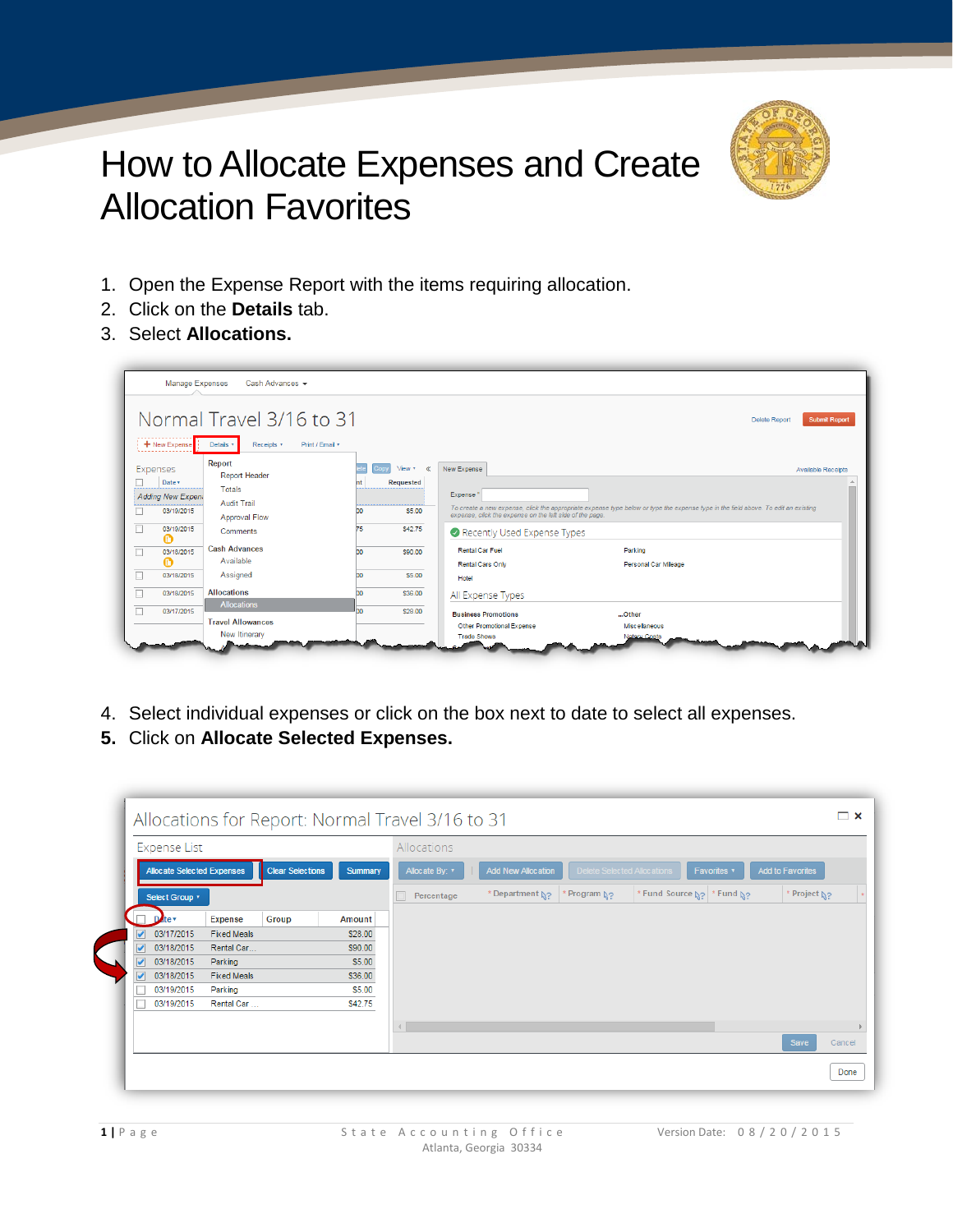

## How to Allocate Expenses and Create Allocation Favorites.

- 1. Open the Expense Report with the items requiring allocation.
- 2. Click on the **Details** tab.
- 3. Select **Allocations.**

|                  | Manage Expenses                                                          | Cash Advances $\star$                                                                              |            |                                                 |                                                                                                                                                                                                                                                          |                           |
|------------------|--------------------------------------------------------------------------|----------------------------------------------------------------------------------------------------|------------|-------------------------------------------------|----------------------------------------------------------------------------------------------------------------------------------------------------------------------------------------------------------------------------------------------------------|---------------------------|
|                  | + New Expense                                                            | Normal Travel 3/16 to 31<br>Details <b>v</b><br>Receipts *<br>Print / Email *                      |            |                                                 | <b>Delete Report</b>                                                                                                                                                                                                                                     | <b>Submit Report</b>      |
| $\Box$           | Expenses<br>Date v<br>Adding New Expen.<br>03/19/2015<br>03/19/2015<br>ø | Report<br>Report Header<br>Totals<br><b>Audit Trail</b><br><b>Approval Flow</b><br><b>Comments</b> | DO.<br>75  | $View *$<br>«<br>Requested<br>\$5.00<br>\$42.75 | New Expense<br>Expense"<br>To create a new expense, click the appropriate expense type below or type the expense type in the field above. To edit an existing<br>expense, click the expense on the left side of the page.<br>Recently Used Expense Types | <b>Available Receipts</b> |
| $\Box$<br>$\Box$ | 03/18/2015<br>Ø<br>03/18/2015                                            | <b>Cash Advances</b><br>Available<br>Assigned                                                      | DO.<br>DO. | \$90.00<br>\$5.00                               | <b>Rental Car Fuel</b><br>Parking<br><b>Rental Cars Only</b><br>Personal Car Mileage<br>Hotel                                                                                                                                                            |                           |
| П                | 03/18/2015<br>03/17/2015                                                 | <b>Allocations</b><br><b>Allocations</b>                                                           | DO.<br>bo. | \$36.00<br>\$28.00                              | All Expense Types<br><b>Business Promotions</b><br>Other                                                                                                                                                                                                 |                           |
|                  |                                                                          | <b>Travel Allowances</b><br>New Itinerary                                                          |            |                                                 | Other Promotional Expense<br><b>Miscellaneous</b><br><b>Trade Shows</b><br><b>Notary Costs</b>                                                                                                                                                           |                           |

- 4. Select individual expenses or click on the box next to date to select all expenses.
- **5.** Click on **Allocate Selected Expenses.**

|                      | <b>Expense List</b> |                            |                         |                | Allocations              |                           |                             |                                                  |                         |        |
|----------------------|---------------------|----------------------------|-------------------------|----------------|--------------------------|---------------------------|-----------------------------|--------------------------------------------------|-------------------------|--------|
|                      |                     | Allocate Selected Expenses | <b>Clear Selections</b> | <b>Summary</b> | Allocate By: v           | <b>Add New Allocation</b> | Delete Selected Allocations | Favorites <b>v</b>                               | <b>Add to Favorites</b> |        |
|                      | Select Group v      |                            |                         |                | Percentage               | * Department N?           | * Program No                | * Fund Source $\frac{1}{2}$ * Fund $\frac{1}{2}$ | Project N?              |        |
|                      | Date v              | <b>Expense</b>             | Group                   | Amount         |                          |                           |                             |                                                  |                         |        |
| $\blacktriangledown$ | 03/17/2015          | <b>Fixed Meals</b>         |                         | \$28.00        |                          |                           |                             |                                                  |                         |        |
|                      | 03/18/2015          | Rental Car                 |                         | \$90.00        |                          |                           |                             |                                                  |                         |        |
| ے                    | 03/18/2015          | Parking                    |                         | \$5.00         |                          |                           |                             |                                                  |                         |        |
| ᢦ                    | 03/18/2015          | <b>Fixed Meals</b>         |                         | \$36.00        |                          |                           |                             |                                                  |                         |        |
|                      | 03/19/2015          | Parking                    |                         | \$5.00         |                          |                           |                             |                                                  |                         |        |
|                      | 03/19/2015          | Rental Car                 |                         | \$42.75        |                          |                           |                             |                                                  |                         |        |
|                      |                     |                            |                         |                | $\left\  \cdot \right\ $ |                           |                             |                                                  |                         |        |
|                      |                     |                            |                         |                |                          |                           |                             |                                                  | Save                    | Cancel |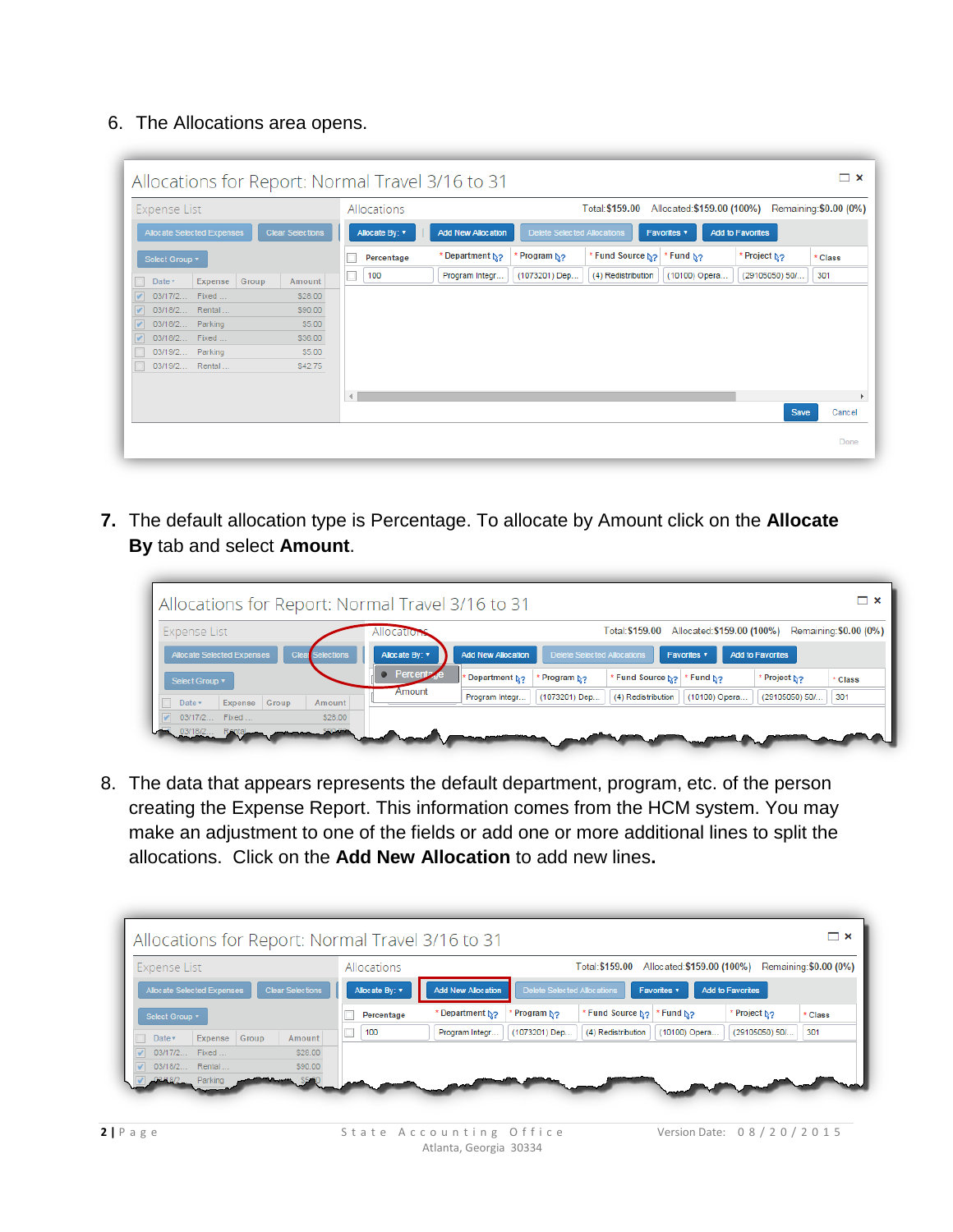6. The Allocations area opens.

| Expense List                                          |                |         |          | Allocations    |                             |                             | Total: \$159.00 Allocated: \$159.00 (100%) |               |                         | Remaining: \$0.00 (0%) |
|-------------------------------------------------------|----------------|---------|----------|----------------|-----------------------------|-----------------------------|--------------------------------------------|---------------|-------------------------|------------------------|
| Allocate Selected Expenses<br><b>Clear Selections</b> |                |         |          | Allocate By: v | <b>Add New Allocation</b>   | Delete Selected Allocations |                                            | Favorites v   | <b>Add to Favorites</b> |                        |
| Select Group v                                        |                |         |          | Percentage     | * Department N <sub>2</sub> | Program N <sub>2</sub>      | * Fund Source No   * Fund No               |               | Project N?              | * Class                |
| Date v                                                | Expense Group  | Amount  |          | 100            | Program Integr              | (1073201) Dep               | (4) Redistribution                         | (10100) Opera | (29105050) 50/          | 301                    |
|                                                       | 03/17/2 Fixed  | \$28.00 |          |                |                             |                             |                                            |               |                         |                        |
|                                                       | 03/18/2 Rental | \$90.00 |          |                |                             |                             |                                            |               |                         |                        |
| 03/18/2 Parking                                       |                | \$5.00  |          |                |                             |                             |                                            |               |                         |                        |
|                                                       | 03/18/2 Fixed  | \$36.00 |          |                |                             |                             |                                            |               |                         |                        |
| 03/19/2 Parking                                       |                | \$5.00  |          |                |                             |                             |                                            |               |                         |                        |
|                                                       | 03/19/2 Rental | S42.75  |          |                |                             |                             |                                            |               |                         |                        |
|                                                       |                |         |          |                |                             |                             |                                            |               |                         |                        |
|                                                       |                |         | $\left($ |                |                             |                             |                                            |               |                         |                        |
|                                                       |                |         |          |                |                             |                             |                                            |               | <b>Save</b>             | Cancel                 |

**7.** The default allocation type is Percentage. To allocate by Amount click on the **Allocate By** tab and select **Amount**.

| Allocations for Report: Normal Travel 3/16 to 31      |                                                                                                                      | $\boldsymbol{\mathsf{x}}$ |
|-------------------------------------------------------|----------------------------------------------------------------------------------------------------------------------|---------------------------|
| Expense List                                          | Allocated: \$159.00 (100%)<br>Remaining: \$0.00 (0%)<br>Total: \$159.00<br>Allocation                                |                           |
| Allocate Selected Expenses<br><b>Clear Selections</b> | Delete Selected Allocations<br><b>Add New Allocation</b><br>Allocate By: v<br><b>Add to Favorites</b><br>Favorites v |                           |
| Select Group v                                        | • Percentz<br>* Fund Source No. * Fund No.<br><sup>2</sup> Program <b>∆</b> ?<br>Department No<br>Project No         | * Class                   |
| Expense Group<br>Date v<br>Amount                     | Amount<br>(10100) Opera<br>(1073201) Dep<br>(29105050) 50/<br>301<br>(4) Redistribution<br>Program Integr            |                           |
| 03/17/2 Fixed<br>\$28.00                              |                                                                                                                      |                           |
| \$00.00                                               |                                                                                                                      |                           |

8. The data that appears represents the default department, program, etc. of the person creating the Expense Report. This information comes from the HCM system. You may make an adjustment to one of the fields or add one or more additional lines to split the allocations. Click on the **Add New Allocation** to add new lines**.**

| Expense List               | Allocations                               |                           | Total: \$159.00                            | Allocated: \$159.00 (100%) | Remaining: \$0.00 (0%)  |         |
|----------------------------|-------------------------------------------|---------------------------|--------------------------------------------|----------------------------|-------------------------|---------|
| Allocate Selected Expenses | <b>Clear Selections</b><br>Allocate By: v | <b>Add New Allocation</b> | Delete Selected Allocations                | Favorites v                | <b>Add to Favorites</b> |         |
| Select Group v             | Percentage                                | * Department No           | * Fund Source N <sub>2</sub><br>Program N? | * Fund No                  | Project N?              | * Class |
| Expense Group<br>Date v    | 100<br>Amount                             | Program Integr            | (1073201) Dep<br>(4) Redistribution        | (10100) Opera              | 301<br>(29105050) 50/   |         |
| 03/17/2 Fixed              | \$28.00                                   |                           |                                            |                            |                         |         |
| 03/18/2 Rental             | \$90.00                                   |                           |                                            |                            |                         |         |
| 03/48/2 Parking            |                                           |                           |                                            |                            |                         |         |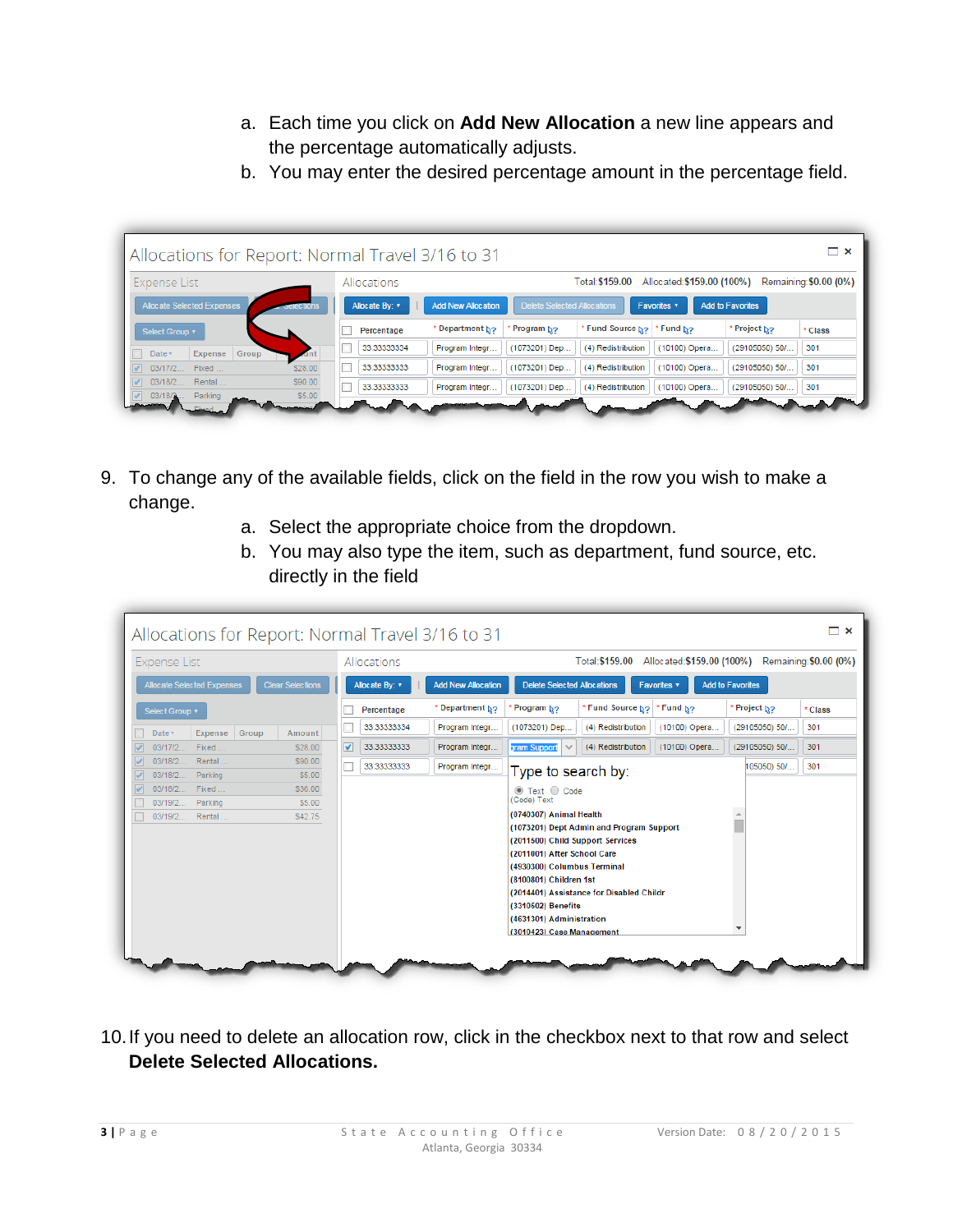- a. Each time you click on **Add New Allocation** a new line appears and the percentage automatically adjusts.
- b. You may enter the desired percentage amount in the percentage field.

|                            |                       |                | Allocations for Report: Normal Travel 3/16 to 31 |                             |                    |                            |                         |                        |
|----------------------------|-----------------------|----------------|--------------------------------------------------|-----------------------------|--------------------|----------------------------|-------------------------|------------------------|
| Expense List               |                       | Allocations    |                                                  |                             | Total: \$159.00    | Allocated: \$159,00 (100%) |                         | Remaining: \$0.00 (0%) |
| Allocate Selected Expenses | <del>cie</del> ctions | Allocate By: ▼ | <b>Add New Allocation</b>                        | Delete Selected Allocations |                    | Favorites v                | <b>Add to Favorites</b> |                        |
| Select Group v             |                       | Percentage     | * Department No                                  | Program No                  | Fund Source No     | * Fund N <sub>2</sub>      | Project No              | * Class                |
| Group<br>Expense<br>Date v |                       | 33.33333334    | Program Integr                                   | (1073201) Dep               | (4) Redistribution | (10100) Opera              | (29105050) 50/          | 301                    |
| 03/17/2 Fixed              | \$28.00               | 33.33333333    | Program Integr                                   | (1073201) Dep               | (4) Redistribution | (10100) Opera              | (29105050) 50/          | 301                    |
| 03/18/2<br>Rental          | \$90.00               | 33.33333333    | Program Integr                                   | (1073201) Dep               | (4) Redistribution | (10100) Opera              | (29105050) 50/          | 301                    |

- 9. To change any of the available fields, click on the field in the row you wish to make a change.
	- a. Select the appropriate choice from the dropdown.
	- b. You may also type the item, such as department, fund source, etc. directly in the field

| <b>Expense List</b>              |                            |                         |                      | Allocations    |                           | Total: \$159.00 Allocated: \$159.00 (100%) Remaining: \$0.00 (0%)          |                                          |               |                        |         |  |
|----------------------------------|----------------------------|-------------------------|----------------------|----------------|---------------------------|----------------------------------------------------------------------------|------------------------------------------|---------------|------------------------|---------|--|
|                                  | Allocate Selected Expenses | <b>Clear Selections</b> |                      | Allocate By: v | <b>Add New Allocation</b> | <b>Delete Selected Allocations</b><br><b>Add to Favorites</b><br>Favorites |                                          |               |                        |         |  |
| Select Group v                   |                            |                         |                      | Percentage     | * Department No           | Program No                                                                 | * Fund Source No. * Fund No.             |               | * Project <sub>ੈ</sub> | * Class |  |
| Date v                           | Expense Group              | Amount                  |                      | 33.33333334    | Program Integr            | (1073201) Dep                                                              | (4) Redistribution                       | (10100) Opera | (29105050) 50/         | 301     |  |
| 03/17/2 Fixed                    |                            | \$28.00                 | $\blacktriangledown$ | 33.33333333    | Program Integr            | gram Support<br>$\checkmark$                                               | (4) Redistribution                       | (10100) Opera | (29105050) 50/         | 301     |  |
|                                  | 03/18/2 Rental             | \$90.00                 |                      | 33.33333333    | Program Integr            | Type to search by:                                                         |                                          |               | 105050) 50/            | 301     |  |
| 03/18/2 Parking<br>03/18/2 Fixed |                            | \$5.00<br>\$36.00       |                      |                |                           |                                                                            |                                          |               |                        |         |  |
| 03/19/2 Parking                  |                            | \$5.00                  |                      |                |                           | $\circledcirc$ Text $\circledcirc$ Code<br>(Code) Text                     |                                          |               |                        |         |  |
|                                  | 03/19/2 Rental             | \$42.75                 |                      |                |                           | (0740307) Animal Health                                                    |                                          |               |                        |         |  |
|                                  |                            |                         |                      |                |                           |                                                                            | (1073201) Dept Admin and Program Support |               |                        |         |  |
|                                  |                            |                         |                      |                |                           | (2011500) Child Support Services                                           |                                          |               |                        |         |  |
|                                  |                            |                         |                      |                |                           | (2011001) After School Care                                                |                                          |               |                        |         |  |
|                                  |                            |                         |                      |                |                           | (4930300) Columbus Terminal                                                |                                          |               |                        |         |  |
|                                  |                            |                         |                      |                |                           | (8100801) Children 1st                                                     |                                          |               |                        |         |  |
|                                  |                            |                         |                      |                |                           |                                                                            | (2014401) Assistance for Disabled Childr |               |                        |         |  |
|                                  |                            |                         |                      |                |                           | (3310502) Benefits                                                         |                                          |               |                        |         |  |
|                                  |                            |                         |                      |                |                           | (4631301) Administration                                                   |                                          |               |                        |         |  |
|                                  |                            |                         |                      |                |                           | (3010423) Case Management                                                  |                                          |               |                        |         |  |

10.If you need to delete an allocation row, click in the checkbox next to that row and select **Delete Selected Allocations.**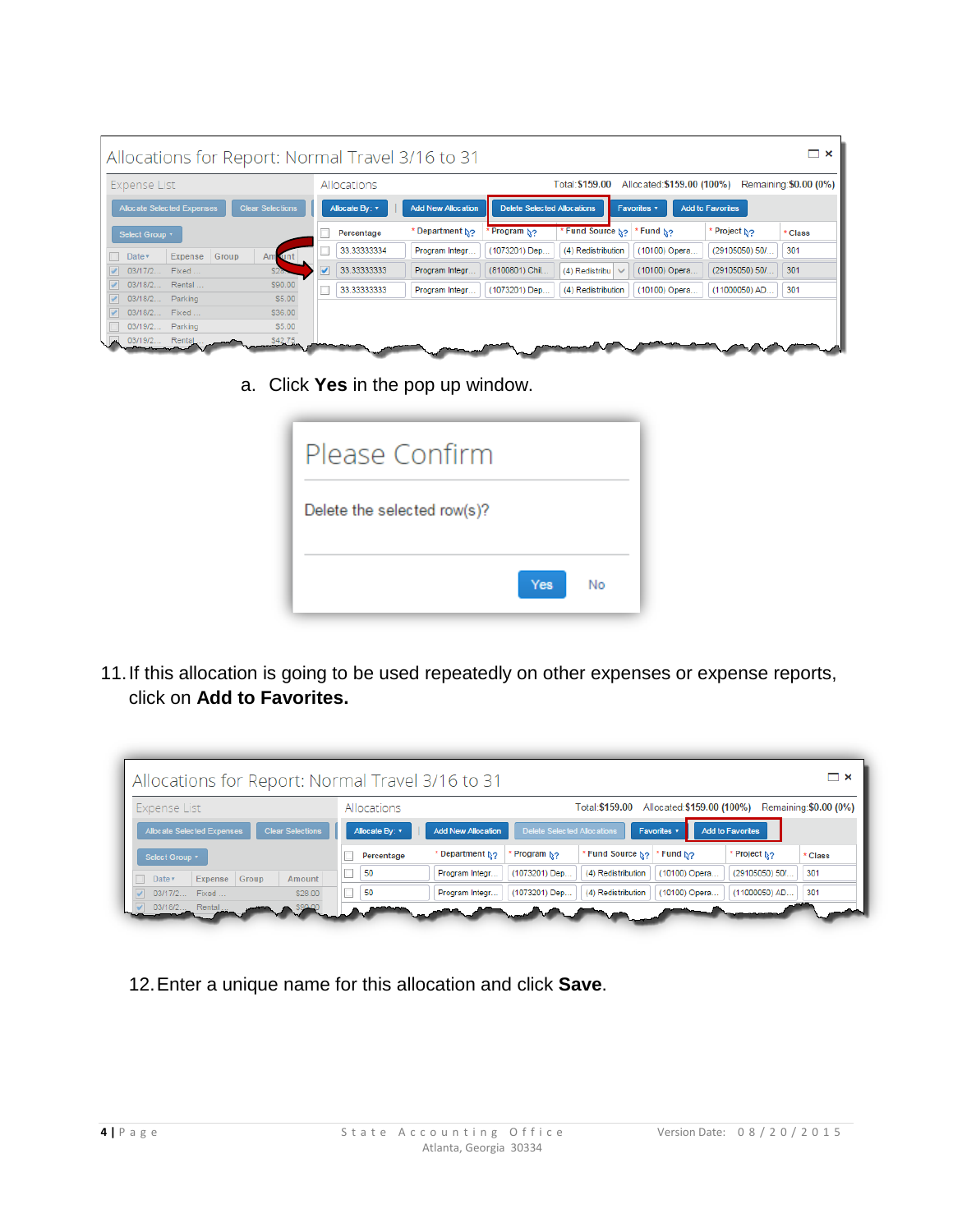|                            |                             | Allocations for Report: Normal Travel 3/16 to 31 |   |                |                           |                                                                                   |                                                                         |               |                | $\Box$ $\times$ |  |  |  |
|----------------------------|-----------------------------|--------------------------------------------------|---|----------------|---------------------------|-----------------------------------------------------------------------------------|-------------------------------------------------------------------------|---------------|----------------|-----------------|--|--|--|
|                            | Allocations<br>Expense List |                                                  |   |                |                           |                                                                                   | Allocated: \$159.00 (100%)<br>Remaining: \$0.00 (0%)<br>Total: \$159.00 |               |                |                 |  |  |  |
| Allocate Selected Expenses |                             | <b>Clear Selections</b>                          |   | Allocate By: v | <b>Add New Allocation</b> | <b>Delete Selected Allocations</b><br><b>Add to Favorites</b><br><b>Favorites</b> |                                                                         |               |                |                 |  |  |  |
| Select Group v             |                             |                                                  |   | Percentage     | * Department No           | Program N <sub>2</sub>                                                            | * Fund Source No                                                        | * Fund No     | Project No     | * Class         |  |  |  |
| Date v                     | Expense                     | Group<br>Am unt                                  |   | 33.33333334    | Program Integr            | (1073201) Dep                                                                     | (4) Redistribution                                                      | (10100) Opera | (29105050) 50/ | 301             |  |  |  |
| 03/17/2                    | Fixed                       |                                                  | v | 33.33333333    | Program Integr            | (8100801) Chil                                                                    | (4) Redistribu $\vee$                                                   | (10100) Opera | (29105050) 50/ | 301             |  |  |  |
| 03/18/2                    | Rental                      | \$90.00                                          |   | 33.33333333    | Program Integr            | (1073201) Dep                                                                     | (4) Redistribution                                                      | (10100) Opera | (11000050) AD  | 301             |  |  |  |
| 03/18/2<br>$\sqrt{2}$      | Parking                     | \$5.00                                           |   |                |                           |                                                                                   |                                                                         |               |                |                 |  |  |  |
| 03/18/2<br>03/19/2         | Fixed<br>Parking            | \$36.00<br>\$5.00                                |   |                |                           |                                                                                   |                                                                         |               |                |                 |  |  |  |
| 03/19/2 Rental             |                             | \$42.75                                          |   |                |                           |                                                                                   |                                                                         |               |                |                 |  |  |  |

a. Click **Yes** in the pop up window.

| Please Confirm              |            |    |
|-----------------------------|------------|----|
| Delete the selected row(s)? |            |    |
|                             | <b>Yes</b> | No |

11.If this allocation is going to be used repeatedly on other expenses or expense reports, click on **Add to Favorites.**

| Allocations for Report: Normal Travel 3/16 to 31                                                                                                                            |            |                 |                        |                              |               |                | $\boldsymbol{\mathsf{x}}$ |  |
|-----------------------------------------------------------------------------------------------------------------------------------------------------------------------------|------------|-----------------|------------------------|------------------------------|---------------|----------------|---------------------------|--|
| Allocated: \$159.00 (100%)<br>Remaining: \$0.00 (0%)<br>Expense List<br>Allocations<br>Total: \$159.00                                                                      |            |                 |                        |                              |               |                |                           |  |
| <b>Clear Selections</b><br>Delete Selected Allocations<br>Allocate Selected Expenses<br><b>Add to Favorites</b><br><b>Add New Allocation</b><br>Allocate By: v<br>Favorites |            |                 |                        |                              |               |                |                           |  |
| Select Group v                                                                                                                                                              | Percentage | * Department No | Program N <sub>2</sub> | Fund Source No. * Fund No.'' |               | * Project ∆?   | * Class                   |  |
| Expense Group<br>Date $\overline{v}$<br>Amount                                                                                                                              | 50         | Program Integr  | (1073201) Dep          | (4) Redistribution           | (10100) Opera | (29105050) 50/ | 301                       |  |
| 03/17/2 Fixed<br>\$28.00                                                                                                                                                    | 50         | Program Integr  | (1073201) Dep          | (4) Redistribution           | (10100) Opera | (11000050) AD  | 301                       |  |
| 03/18/2 Rental                                                                                                                                                              |            |                 |                        |                              |               |                |                           |  |

12.Enter a unique name for this allocation and click **Save**.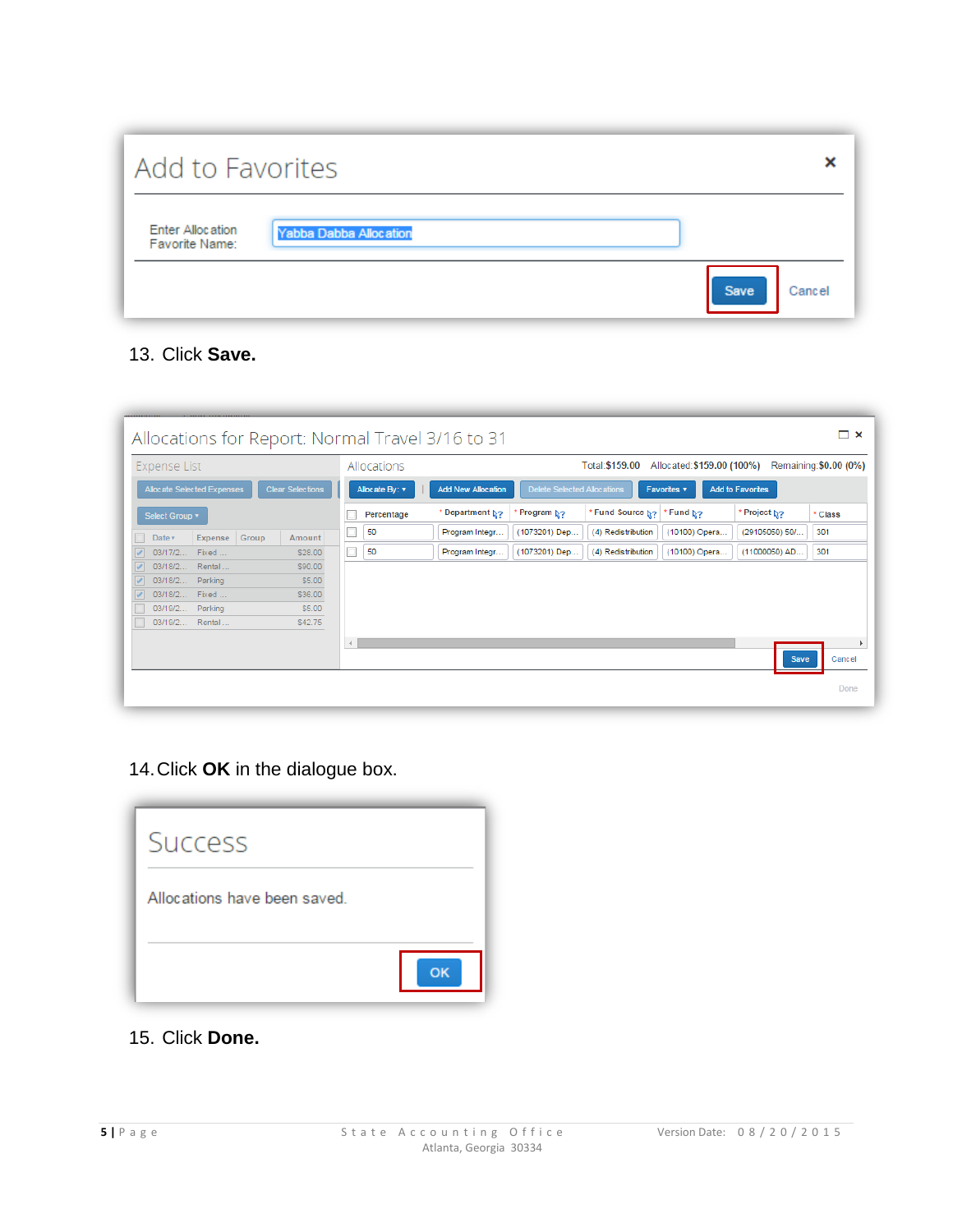| Add to Favorites                   |                        |                       |
|------------------------------------|------------------------|-----------------------|
| Enter Allocation<br>Favorite Name: | Yabba Dabba Allocation |                       |
|                                    |                        | <b>Save</b><br>Cancel |

## 13. Click **Save.**

| Allocations for Report: Normal Travel 3/16 to 31      |                      |                           |                                    |                    |                            |                         | $\Box$ $\times$        |
|-------------------------------------------------------|----------------------|---------------------------|------------------------------------|--------------------|----------------------------|-------------------------|------------------------|
| <b>Expense List</b>                                   | Allocations          |                           |                                    | Total: \$159.00    | Allocated: \$159.00 (100%) |                         | Remaining: \$0.00 (0%) |
| Allocate Selected Expenses<br><b>Clear Selections</b> | Allocate By: v       | <b>Add New Allocation</b> | <b>Delete Selected Allocations</b> |                    | <b>Favorites v</b>         | <b>Add to Favorites</b> |                        |
| Select Group v                                        | Percentage           | * Department N?           | Program N <sub>2</sub>             | * Fund Source No   | * Fund N <sub>2</sub>      | Project N?              | * Class                |
| Expense Group<br>Amount<br>Date v                     | 50                   | Program Integr            | (1073201) Dep                      | (4) Redistribution | (10100) Opera              | (29105050) 50/          | 301                    |
| 03/17/2<br>Fixed<br>\$28.00                           | 50                   | Program Integr            | (1073201) Dep                      | (4) Redistribution | (10100) Opera              | (11000050) AD           | 301                    |
| 03/18/2 Rental<br>\$90.00                             |                      |                           |                                    |                    |                            |                         |                        |
| Parking<br>03/18/2<br>\$5.00                          |                      |                           |                                    |                    |                            |                         |                        |
| 03/18/2 Fixed<br>\$36.00                              |                      |                           |                                    |                    |                            |                         |                        |
| Parking<br>03/19/2<br>\$5.00                          |                      |                           |                                    |                    |                            |                         |                        |
| 03/19/2 Rental<br>\$42.75                             |                      |                           |                                    |                    |                            |                         |                        |
|                                                       | $\blacktriangleleft$ |                           |                                    |                    |                            |                         |                        |
|                                                       |                      |                           |                                    |                    |                            | Save                    | Cancel                 |
|                                                       |                      |                           |                                    |                    |                            |                         | Done                   |

14.Click **OK** in the dialogue box.



15. Click **Done.**